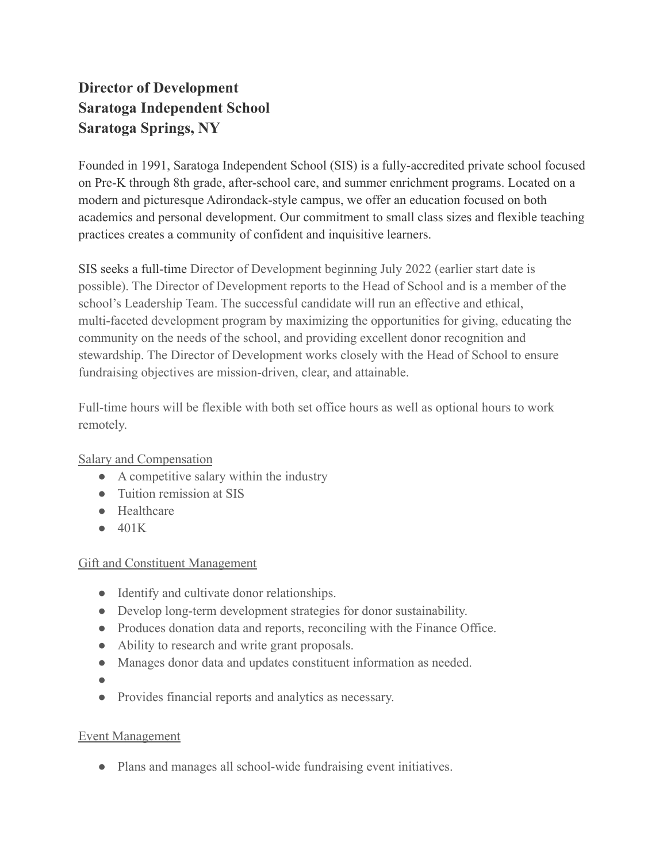# **Director of Development Saratoga Independent School Saratoga Springs, NY**

Founded in 1991, Saratoga Independent School (SIS) is a fully-accredited private school focused on Pre-K through 8th grade, after-school care, and summer enrichment programs. Located on a modern and picturesque Adirondack-style campus, we offer an education focused on both academics and personal development. Our commitment to small class sizes and flexible teaching practices creates a community of confident and inquisitive learners.

SIS seeks a full-time Director of Development beginning July 2022 (earlier start date is possible). The Director of Development reports to the Head of School and is a member of the school's Leadership Team. The successful candidate will run an effective and ethical, multi-faceted development program by maximizing the opportunities for giving, educating the community on the needs of the school, and providing excellent donor recognition and stewardship. The Director of Development works closely with the Head of School to ensure fundraising objectives are mission-driven, clear, and attainable.

Full-time hours will be flexible with both set office hours as well as optional hours to work remotely.

Salary and Compensation

- A competitive salary within the industry
- Tuition remission at SIS
- Healthcare
- $\bullet$  401K

## Gift and Constituent Management

- Identify and cultivate donor relationships.
- Develop long-term development strategies for donor sustainability.
- Produces donation data and reports, reconciling with the Finance Office.
- Ability to research and write grant proposals.
- Manages donor data and updates constituent information as needed.
- ●
- Provides financial reports and analytics as necessary.

## Event Management

● Plans and manages all school-wide fundraising event initiatives.